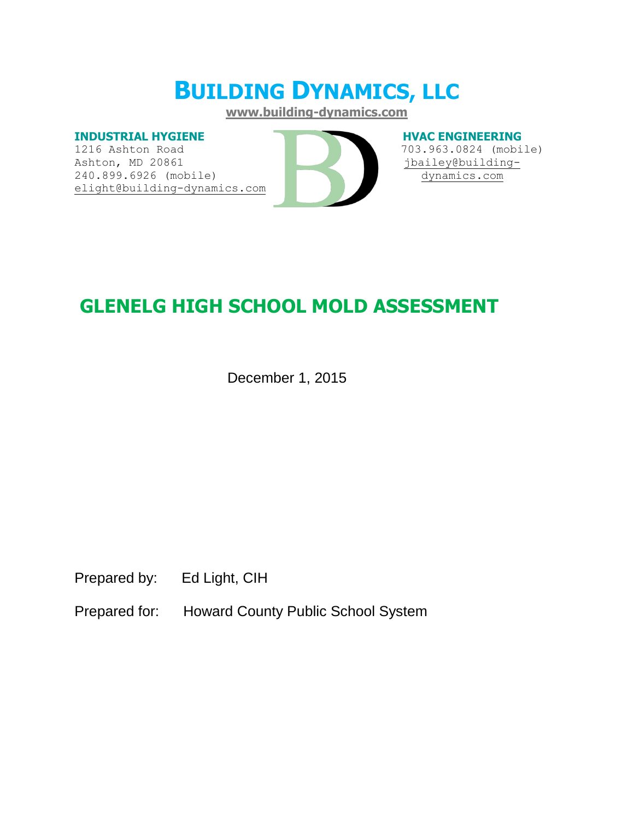# **BUILDING DYNAMICS, LLC**

**[www.building-dynamics.com](http://www.building-dynamics.com/)**

#### **INDUSTRIAL HYGIENE**

1216 Ashton Road Ashton, MD 20861 240.899.6926 (mobile) [elight@building-dynamics.com](mailto:elight@building-dynamics.com)



#### **HVAC ENGINEERING**

 703.963.0824 (mobile) [jbailey@building](mailto:jbailey@building-dynamics.com)[dynamics.com](mailto:jbailey@building-dynamics.com)

## **GLENELG HIGH SCHOOL MOLD ASSESSMENT**

December 1, 2015

Prepared by: Ed Light, CIH

Prepared for: Howard County Public School System